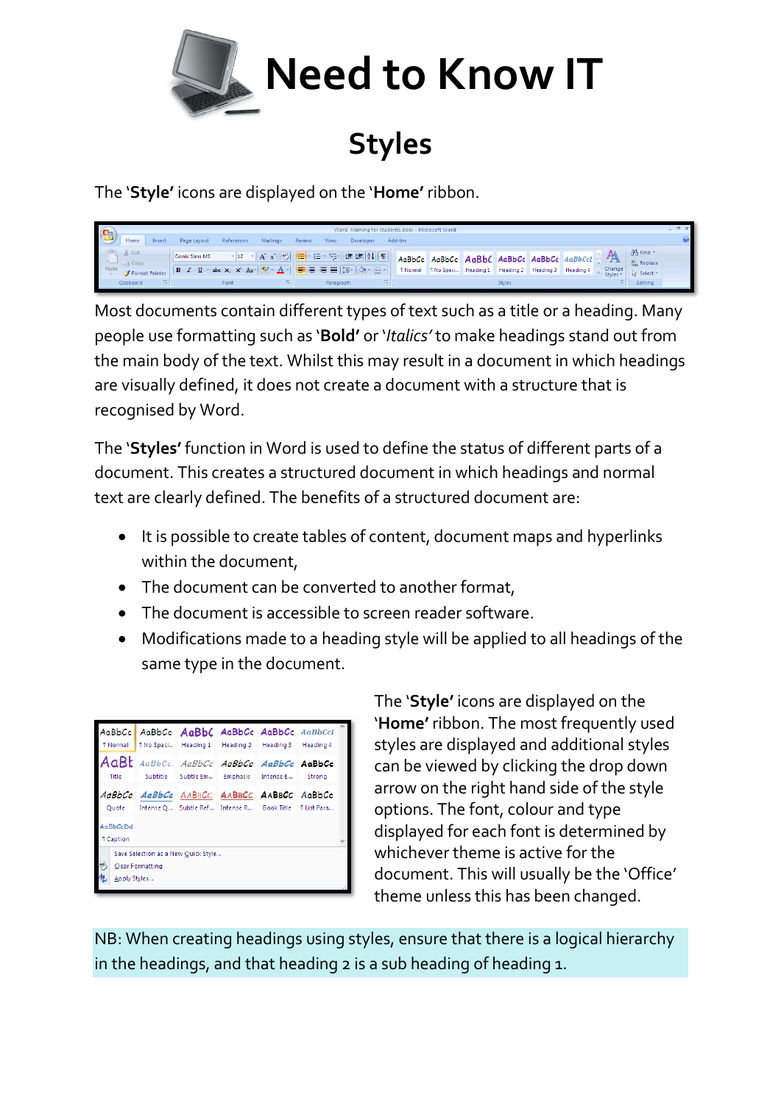

## **Styles**

The '**Style'** icons are displayed on the '**Home'** ribbon.



Most documents contain different types of text such as a title or a heading. Many people use formatting such as '**Bold'** or '*Italics'* to make headings stand out from the main body of the text. Whilst this may result in a document in which headings are visually defined, it does not create a document with a structure that is recognised by Word.

The '**Styles'** function in Word is used to define the status of different parts of a document. This creates a structured document in which headings and normal text are clearly defined. The benefits of a structured document are:

- It is possible to create tables of content, document maps and hyperlinks within the document,
- The document can be converted to another format,
- The document is accessible to screen reader software.
- Modifications made to a heading style will be applied to all headings of the same type in the document.

| <b>fi Normal</b>                                                             | AaBbCc AaBbCc AaBbC AaBbCc AaBbCc AaBbCcl                                                                 |  |  | fi No Spaci Heading 1 Heading 2 Heading 3 | Heading 4 |  |
|------------------------------------------------------------------------------|-----------------------------------------------------------------------------------------------------------|--|--|-------------------------------------------|-----------|--|
| Title                                                                        | AaBt AaBbCc. AaBbCc AaBbCc AaBbCc AaBbCc                                                                  |  |  | Subtitle Subtle Em Emphasis Intense E     | Strong    |  |
|                                                                              | AaBbCc AaBbCc AABBCC AABBCc AABBCC AaBbCc<br>Quote Intense Q Subtle Ref Intense R Book Title 11 List Para |  |  |                                           |           |  |
| AaBbCcDd<br><b>T</b> Caption                                                 |                                                                                                           |  |  |                                           |           |  |
| Save Selection as a New Ouick Style<br>쀵<br>Clear Formatting<br>Apply Styles |                                                                                                           |  |  |                                           |           |  |

The '**Style'** icons are displayed on the '**Home'** ribbon. The most frequently used styles are displayed and additional styles can be viewed by clicking the drop down arrow on the right hand side of the style options. The font, colour and type displayed for each font is determined by whichever theme is active for the document. This will usually be the 'Office' theme unless this has been changed.

NB: When creating headings using styles, ensure that there is a logical hierarchy in the headings, and that heading 2 is a sub heading of heading 1.